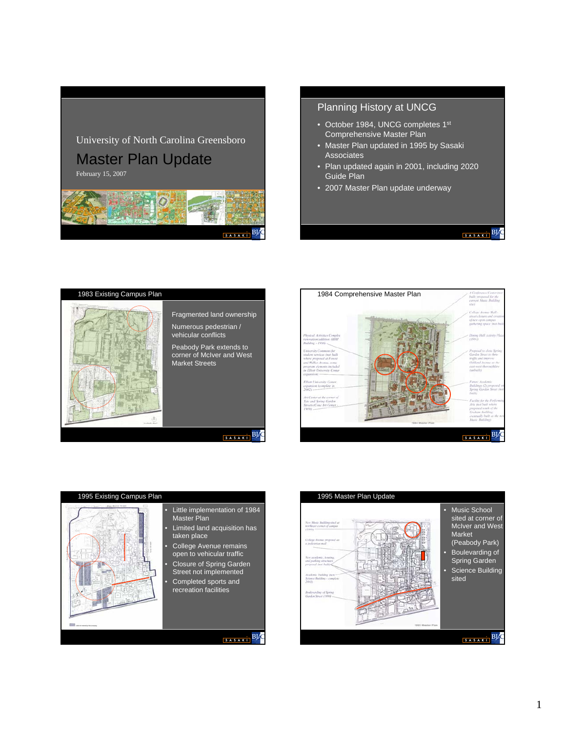# University of North Carolina Greensboro

Master Plan Update

February 15, 2007



# Planning History at UNCG

- October 1984, UNCG completes 1st Comprehensive Master Plan
- Master Plan updated in 1995 by Sasaki **Associates**
- Plan updated again in 2001, including 2020 Guide Plan

 $\begin{array}{c|c|c|c} \hline s & s & s & B & C \end{array}$ 

• 2007 Master Plan update underway

# 1983 Existing Campus Plan Fragmented land ownership Numerous pedestrian / vehicular conflicts Peabody Park extends to corner of McIver and West Market Streets SASAKI BLO





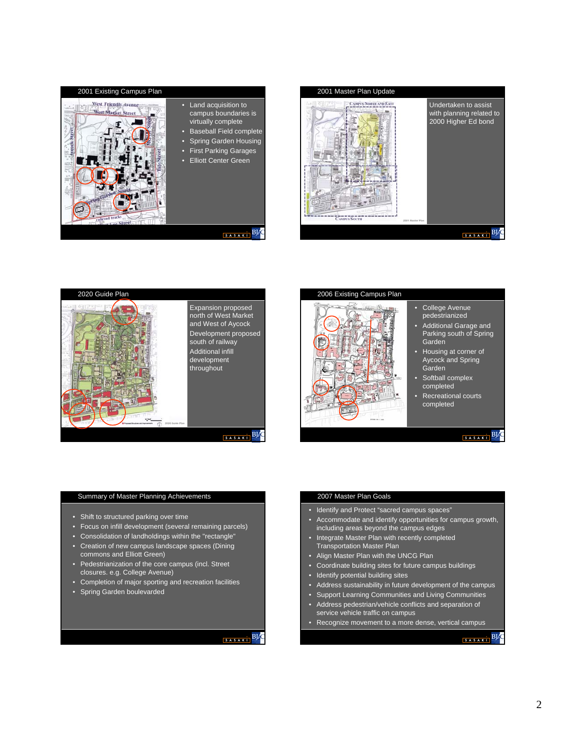







- College Avenue
- pedestrianized • Additional Garage and Parking south of Spring
- Garden • Housing at corner of
- Aycock and Spring Garden
- Softball complex completed
- Recreational courts completed

# SASAKI BL

#### Summary of Master Planning Achievements

- Shift to structured parking over time
- Focus on infill development (several remaining parcels)
- Consolidation of landholdings within the "rectangle"
- Creation of new campus landscape spaces (Dining commons and Elliott Green)
- Pedestrianization of the core campus (incl. Street closures. e.g. College Avenue)
- Completion of major sporting and recreation facilities
- Spring Garden boulevarded

# SASAKI BLO

#### 2007 Master Plan Goals

- Identify and Protect "sacred campus spaces"
- Accommodate and identify opportunities for campus growth, including areas beyond the campus edges
- Integrate Master Plan with recently completed Transportation Master Plan
- Align Master Plan with the UNCG Plan
- Coordinate building sites for future campus buildings
- Identify potential building sites
- Address sustainability in future development of the campus
- Support Learning Communities and Living Communities
- Address pedestrian/vehicle conflicts and separation of service vehicle traffic on campus
- Recognize movement to a more dense, vertical campus

# $B \times$